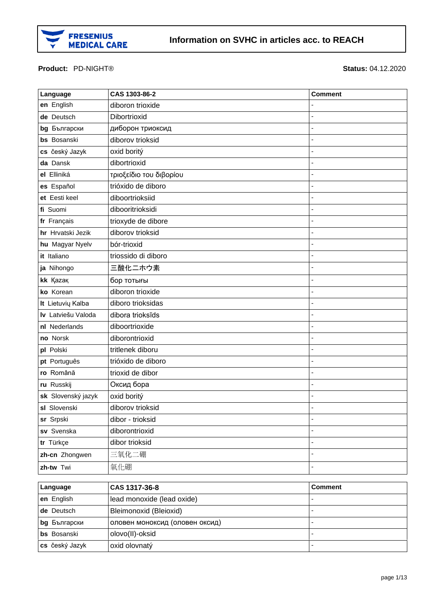

#### **Product:** PD-NIGHT® **Status:** 04.12.2020

**de** Deutsch Bleimonoxid (Bleioxid)

**cs** český Jazyk | oxid olovnatý

**bg** Български <sup>|</sup> Оловен моноксид (оловен оксид)

**bs** Bosanski olovo(II)-oksid -

| Language           | CAS 1303-86-2              | <b>Comment</b> |
|--------------------|----------------------------|----------------|
| en English         | diboron trioxide           |                |
| de Deutsch         | Dibortrioxid               | ÷,             |
| bg Български       | диборон триоксид           |                |
| bs Bosanski        | diborov trioksid           | L,             |
| cs český Jazyk     | oxid boritý                |                |
| da Dansk           | dibortrioxid               |                |
| el Elliniká        | τριοξείδιο του διβορίου    | ÷,             |
| es Español         | trióxido de diboro         | ä,             |
| et Eesti keel      | diboortrioksiid            |                |
| fi Suomi           | dibooritrioksidi           | ÷,             |
| fr Français        | trioxyde de dibore         |                |
| hr Hrvatski Jezik  | diborov trioksid           |                |
| hu Magyar Nyelv    | bór-trioxid                | ÷,             |
| it Italiano        | triossido di diboro        | L.             |
| ja Nihongo         | 三酸化ニホウ素                    |                |
| kk Kazak           | бор тотығы                 | ä,             |
| ko Korean          | diboron trioxide           |                |
| It Lietuvių Kalba  | diboro trioksidas          | ä,             |
| Iv Latviešu Valoda | dibora trioksīds           | ä,             |
| nl Nederlands      | diboortrioxide             |                |
| no Norsk           | diborontrioxid             | ä,             |
| pl Polski          | tritlenek diboru           | ä,             |
| pt Português       | trióxido de diboro         |                |
| ro Română          | trioxid de dibor           | ä,             |
| ru Russkij         | Оксид бора                 | L,             |
| sk Slovenský jazyk | oxid boritý                |                |
| sl Slovenski       | diborov trioksid           | ä,             |
| sr Srpski          | dibor - trioksid           | L.             |
| sv Svenska         | diborontrioxid             | $\overline{a}$ |
| tr Türkçe          | dibor trioksid             | ä,             |
| zh-cn Zhongwen     | 三氧化二硼                      | L,             |
| zh-tw Twi          | 氧化硼                        | L,             |
|                    |                            |                |
| Language           | CAS 1317-36-8              | <b>Comment</b> |
| en English         | lead monoxide (lead oxide) | ÷              |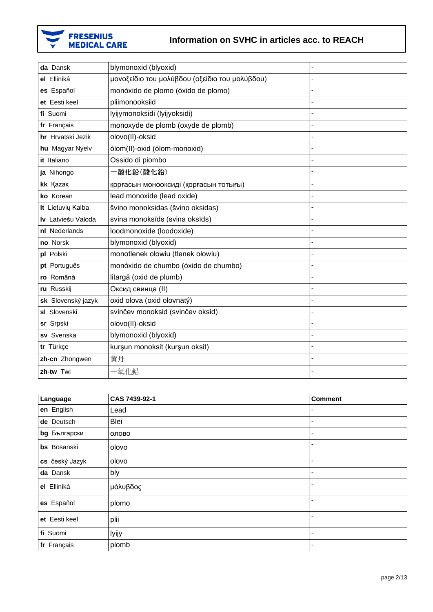

# FRESENIUS<br>MEDICAL CARE

| da Dansk           | blymonoxid (blyoxid)                           |                |
|--------------------|------------------------------------------------|----------------|
| el Elliniká        | μονοξείδιο του μολύβδου (οξείδιο του μολύβδου) |                |
| es Español         | monóxido de plomo (óxido de plomo)             | ÷,             |
| et Eesti keel      | pliimonooksiid                                 | Ĭ.             |
| fi Suomi           | lyijymonoksidi (lyijyoksidi)                   | ÷,             |
| fr Français        | monoxyde de plomb (oxyde de plomb)             |                |
| hr Hrvatski Jezik  | olovo(II)-oksid                                | ÷,             |
| hu Magyar Nyelv    | ólom(II)-oxid (ólom-monoxid)                   | ä,             |
| it Italiano        | Ossido di piombo                               | Ĭ.             |
| ja Nihongo         | 一酸化鉛(酸化鉛)                                      |                |
| kk Kazak           | қорғасын монооксиді (қорғасын тотығы)          |                |
| ko Korean          | lead monoxide (lead oxide)                     | ÷,             |
| It Lietuvių Kalba  | švino monoksidas (švino oksidas)               | L,             |
| Iv Latviešu Valoda | svina monoksīds (svina oksīds)                 |                |
| nl Nederlands      | loodmonoxide (loodoxide)                       | ÷,             |
| no Norsk           | blymonoxid (blyoxid)                           | L,             |
| pl Polski          | monotlenek ołowiu (tlenek ołowiu)              | $\overline{a}$ |
| pt Português       | monóxido de chumbo (óxido de chumbo)           | Ĭ.             |
| ro Română          | litargă (oxid de plumb)                        | L.             |
| ru Russkij         | Оксид свинца (II)                              |                |
| sk Slovenský jazyk | oxid olova (oxid olovnatý)                     | L.             |
| sl Slovenski       | svinčev monoksid (svinčev oksid)               |                |
| sr Srpski          | olovo(II)-oksid                                | ÷,             |
| sv Svenska         | blymonoxid (blyoxid)                           | ä,             |
| tr Türkçe          | kurşun monoksit (kurşun oksit)                 |                |
| zh-cn Zhongwen     | 黄丹                                             |                |
| zh-tw Twi          | 氧化鉛                                            |                |

| Language            | CAS 7439-92-1 | <b>Comment</b> |
|---------------------|---------------|----------------|
| en English          | Lead          | -              |
| de Deutsch          | Blei          | -              |
| <b>bg</b> Български | олово         | -              |
| bs Bosanski         | olovo         | -              |
| cs český Jazyk      | olovo         | -              |
| da Dansk            | bly           | -              |
| el Elliniká         | μόλυβδος      | -              |
| es Español          | plomo         | -              |
| et Eesti keel       | plii          | -              |
| fi Suomi            | lyijy         | -              |
| fr Français         | plomb         | ۰              |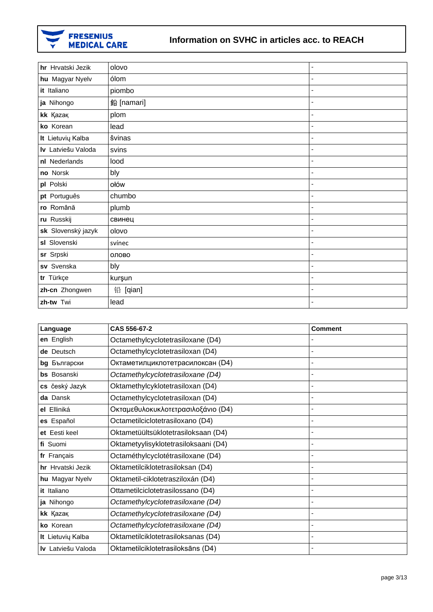

| hr Hrvatski Jezik  | olovo      |   |
|--------------------|------------|---|
| hu Magyar Nyelv    | ólom       |   |
| it Italiano        | piombo     |   |
| ja Nihongo         | 鉛 [namari] |   |
| kk Kazak           | plom       |   |
| ko Korean          | lead       |   |
| It Lietuvių Kalba  | švinas     |   |
| Iv Latviešu Valoda | svins      |   |
| nl Nederlands      | lood       | ٠ |
| no Norsk           | bly        |   |
| pl Polski          | ołów       |   |
| pt Português       | chumbo     |   |
| ro Română          | plumb      | ٠ |
| ru Russkij         | свинец     |   |
| sk Slovenský jazyk | olovo      |   |
| sl Slovenski       | svínec     |   |
| sr Srpski          | ОЛОВО      |   |
| sv Svenska         | bly        | ٠ |
| tr Türkçe          | kurşun     |   |
| zh-cn Zhongwen     | 铅 [qian]   |   |
| zh-tw Twi          | lead       |   |

| Language           | CAS 556-67-2                         | <b>Comment</b> |
|--------------------|--------------------------------------|----------------|
| en English         | Octamethylcyclotetrasiloxane (D4)    |                |
| de Deutsch         | Octamethylcyclotetrasiloxan (D4)     |                |
| bg Български       | Октаметилциклотетрасилоксан (D4)     |                |
| <b>bs</b> Bosanski | Octamethylcyclotetrasiloxane (D4)    |                |
| cs český Jazyk     | Oktamethylcyklotetrasiloxan (D4)     |                |
| da Dansk           | Octamethylcyclotetrasiloxan (D4)     | $\blacksquare$ |
| el Elliniká        | Οκταμεθυλοκυκλοτετρασιλοξάνιο (D4)   |                |
| es Español         | Octametilciclotetrasiloxano (D4)     |                |
| et Eesti keel      | Oktametüültsüklotetrasiloksaan (D4)  |                |
| fi Suomi           | Oktametyylisyklotetrasiloksaani (D4) |                |
| fr Français        | Octaméthylcyclotétrasiloxane (D4)    |                |
| hr Hrvatski Jezik  | Oktametilciklotetrasiloksan (D4)     |                |
| hu Magyar Nyelv    | Oktametil-ciklotetrasziloxán (D4)    |                |
| it Italiano        | Ottametilciclotetrasilossano (D4)    | $\blacksquare$ |
| ja Nihongo         | Octamethylcyclotetrasiloxane (D4)    | -              |
| kk Kazak           | Octamethylcyclotetrasiloxane (D4)    | $\blacksquare$ |
| ko Korean          | Octamethylcyclotetrasiloxane (D4)    |                |
| It Lietuvių Kalba  | Oktametilciklotetrasiloksanas (D4)   |                |
| Iv Latviešu Valoda | Oktametilciklotetrasiloksāns (D4)    |                |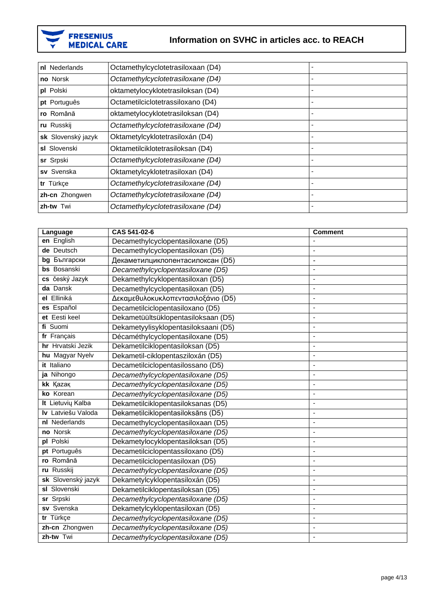

# FRESENIUS<br>MEDICAL CARE

| Nederlands<br>nl   | Octamethylcyclotetrasiloxaan (D4) | $\overline{\phantom{0}}$ |
|--------------------|-----------------------------------|--------------------------|
| no Norsk           | Octamethylcyclotetrasiloxane (D4) | $\overline{\phantom{0}}$ |
| pl Polski          | oktametylocyklotetrasiloksan (D4) | $\overline{\phantom{0}}$ |
| pt Português       | Octametilciclotetrassiloxano (D4) | $\overline{\phantom{a}}$ |
| ro Română          | oktametylocyklotetrasiloksan (D4) |                          |
| ru Russkij         | Octamethylcyclotetrasiloxane (D4) |                          |
| sk Slovenský jazyk | Oktametylcyklotetrasiloxán (D4)   |                          |
| sl Slovenski       | Oktametilciklotetrasiloksan (D4)  | $\overline{\phantom{a}}$ |
| sr Srpski          | Octamethylcyclotetrasiloxane (D4) |                          |
| sv Svenska         | Oktametylcyklotetrasiloxan (D4)   |                          |
| tr Türkçe          | Octamethylcyclotetrasiloxane (D4) | $\overline{\phantom{0}}$ |
| zh-cn Zhongwen     | Octamethylcyclotetrasiloxane (D4) | $\overline{\phantom{a}}$ |
| zh-tw Twi          | Octamethylcyclotetrasiloxane (D4) |                          |

| Language            | CAS 541-02-6                         | <b>Comment</b>           |
|---------------------|--------------------------------------|--------------------------|
| en English          | Decamethylcyclopentasiloxane (D5)    |                          |
| de Deutsch          | Decamethylcyclopentasiloxan (D5)     | $\blacksquare$           |
| <b>bg</b> Български | Декаметилциклопентасилоксан (D5)     | $\overline{\phantom{a}}$ |
| bs Bosanski         | Decamethylcyclopentasiloxane (D5)    | $\overline{\phantom{a}}$ |
| cs český Jazyk      | Dekamethylcyklopentasiloxan (D5)     | $\blacksquare$           |
| da Dansk            | Decamethylcyclopentasiloxan (D5)     | $\overline{\phantom{a}}$ |
| el Elliniká         | Δεκαμεθυλοκυκλοπεντασιλοξάνιο (D5)   | ä,                       |
| es Español          | Decametilciclopentasiloxano (D5)     | $\blacksquare$           |
| et Eesti keel       | Dekametüültsüklopentasiloksaan (D5)  | $\blacksquare$           |
| fi Suomi            | Dekametyylisyklopentasiloksaani (D5) | ÷,                       |
| fr Français         | Décaméthylcyclopentasiloxane (D5)    | ÷,                       |
| hr Hrvatski Jezik   | Dekametilciklopentasiloksan (D5)     | ÷,                       |
| hu Magyar Nyelv     | Dekametil-ciklopentasziloxán (D5)    | $\blacksquare$           |
| it Italiano         | Decametilciclopentasilossano (D5)    | ä,                       |
| ja Nihongo          | Decamethylcyclopentasiloxane (D5)    | $\overline{\phantom{a}}$ |
| kk Kazak            | Decamethylcyclopentasiloxane (D5)    | $\frac{1}{2}$            |
| ko Korean           | Decamethylcyclopentasiloxane (D5)    | $\blacksquare$           |
| It Lietuvių Kalba   | Dekametilciklopentasiloksanas (D5)   | $\blacksquare$           |
| Iv Latviešu Valoda  | Dekametilciklopentasiloksāns (D5)    | ÷,                       |
| nl Nederlands       | Decamethylcyclopentasiloxaan (D5)    | ÷,                       |
| no Norsk            | Decamethylcyclopentasiloxane (D5)    | $\frac{1}{2}$            |
| pl Polski           | Dekametylocyklopentasiloksan (D5)    | ä,                       |
| pt Português        | Decametilciclopentassiloxano (D5)    | $\overline{\phantom{a}}$ |
| ro Română           | Decametilciclopentasiloxan (D5)      | $\blacksquare$           |
| ru Russkij          | Decamethylcyclopentasiloxane (D5)    | $\overline{\phantom{a}}$ |
| sk Slovenský jazyk  | Dekametylcyklopentasiloxán (D5)      | $\blacksquare$           |
| sl Slovenski        | Dekametilciklopentasiloksan (D5)     | $\overline{\phantom{a}}$ |
| sr Srpski           | Decamethylcyclopentasiloxane (D5)    | $\blacksquare$           |
| sv Svenska          | Dekametylcyklopentasiloxan (D5)      | $\blacksquare$           |
| tr Türkçe           | Decamethylcyclopentasiloxane (D5)    | $\blacksquare$           |
| zh-cn Zhongwen      | Decamethylcyclopentasiloxane (D5)    | $\overline{\phantom{a}}$ |
| zh-tw Twi           | Decamethylcyclopentasiloxane (D5)    | $\overline{\phantom{a}}$ |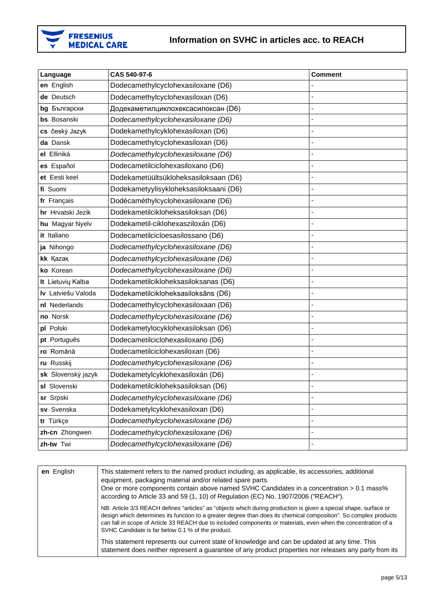

| Language           | CAS 540-97-6                           | <b>Comment</b> |
|--------------------|----------------------------------------|----------------|
| en English         | Dodecamethylcyclohexasiloxane (D6)     |                |
| de Deutsch         | Dodecamethylcyclohexasiloxan (D6)      |                |
| bg Български       | Додекаметилциклохексасилоксан (D6)     |                |
| bs Bosanski        | Dodecamethylcyclohexasiloxane (D6)     |                |
| cs český Jazyk     | Dodekamethylcyklohexasiloxan (D6)      |                |
| da Dansk           | Dodecamethylcyclohexasiloxan (D6)      |                |
| el Elliniká        | Dodecamethylcyclohexasiloxane (D6)     |                |
| es Español         | Dodecametilciclohexasiloxano (D6)      | ÷,             |
| et Eesti keel      | Dodekametüültsükloheksasiloksaan (D6)  |                |
| fi Suomi           | Dodekametyylisykloheksasiloksaani (D6) |                |
| fr Français        | Dodécaméthylcyclohexasiloxane (D6)     |                |
| hr Hrvatski Jezik  | Dodekametilcikloheksasiloksan (D6)     |                |
| hu Magyar Nyelv    | Dodekametil-ciklohexasziloxán (D6)     |                |
| it Italiano        | Dodecametilcicloesasilossano (D6)      |                |
| ja Nihongo         | Dodecamethylcyclohexasiloxane (D6)     |                |
| kk Kazak           | Dodecamethylcyclohexasiloxane (D6)     |                |
| ko Korean          | Dodecamethylcyclohexasiloxane (D6)     |                |
| It Lietuvių Kalba  | Dodekametilcikloheksasiloksanas (D6)   |                |
| Iv Latviešu Valoda | Dodekametilcikloheksasiloksāns (D6)    |                |
| nl Nederlands      | Dodecamethylcyclohexasiloxaan (D6)     |                |
| no Norsk           | Dodecamethylcyclohexasiloxane (D6)     |                |
| pl Polski          | Dodekametylocyklohexasiloksan (D6)     |                |
| pt Português       | Dodecametilciclohexasiloxano (D6)      | $\blacksquare$ |
| ro Română          | Dodecametilciclohexasiloxan (D6)       |                |
| ru Russkij         | Dodecamethylcyclohexasiloxane (D6)     |                |
| sk Slovenský jazyk | Dodekametylcyklohexasiloxán (D6)       |                |
| sl Slovenski       | Dodekametilcikloheksasiloksan (D6)     |                |
| sr Srpski          | Dodecamethylcyclohexasiloxane (D6)     |                |
| sv Svenska         | Dodekametylcyklohexasiloxan (D6)       |                |
| tr Türkçe          | Dodecamethylcyclohexasiloxane (D6)     |                |
| zh-cn Zhongwen     | Dodecamethylcyclohexasiloxane (D6)     |                |
| zh-tw Twi          | Dodecamethylcyclohexasiloxane (D6)     |                |

| en English | This statement refers to the named product including, as applicable, its accessories, additional<br>equipment, packaging material and/or related spare parts.<br>One or more components contain above named SVHC Candidates in a concentration > 0.1 mass%<br>according to Article 33 and 59 (1, 10) of Regulation (EC) No. 1907/2006 ("REACH").                                                               |
|------------|----------------------------------------------------------------------------------------------------------------------------------------------------------------------------------------------------------------------------------------------------------------------------------------------------------------------------------------------------------------------------------------------------------------|
|            | NB: Article 3/3 REACH defines "articles" as "objects which during production is given a special shape, surface or<br>design which determines its function to a greater degree than does its chemical composition". So complex products<br>can fall in scope of Article 33 REACH due to included components or materials, even when the concentration of a<br>SVHC Candidate is far below 0.1 % of the product. |
|            | This statement represents our current state of knowledge and can be updated at any time. This<br>statement does neither represent a guarantee of any product properties nor releases any party from its                                                                                                                                                                                                        |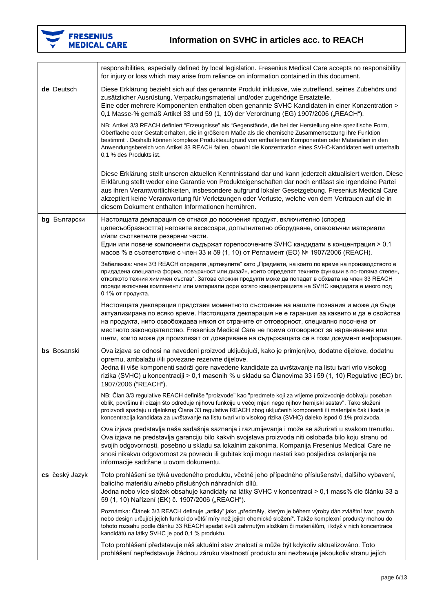

|                    | responsibilities, especially defined by local legislation. Fresenius Medical Care accepts no responsibility<br>for injury or loss which may arise from reliance on information contained in this document.                                                                                                                                                                                                                                                                          |
|--------------------|-------------------------------------------------------------------------------------------------------------------------------------------------------------------------------------------------------------------------------------------------------------------------------------------------------------------------------------------------------------------------------------------------------------------------------------------------------------------------------------|
| de Deutsch         | Diese Erklärung bezieht sich auf das genannte Produkt inklusive, wie zutreffend, seines Zubehörs und<br>zusätzlicher Ausrüstung, Verpackungsmaterial und/oder zugehörige Ersatzteile.<br>Eine oder mehrere Komponenten enthalten oben genannte SVHC Kandidaten in einer Konzentration ><br>0,1 Masse-% gemäß Artikel 33 und 59 (1, 10) der Verordnung (EG) 1907/2006 ("REACH").                                                                                                     |
|                    | NB: Artikel 3/3 REACH definiert "Erzeugnisse" als "Gegenstände, die bei der Herstellung eine spezifische Form,<br>Oberfläche oder Gestalt erhalten, die in größerem Maße als die chemische Zusammensetzung ihre Funktion<br>bestimmt". Deshalb können komplexe Produkteaufgrund von enthaltenen Komponenten oder Materialien in den<br>Anwendungsbereich von Artikel 33 REACH fallen, obwohl die Konzentration eines SVHC-Kandidaten weit unterhalb<br>0,1 % des Produkts ist.      |
|                    | Diese Erklärung stellt unseren aktuellen Kenntnisstand dar und kann jederzeit aktualisiert werden. Diese<br>Erklärung stellt weder eine Garantie von Produkteigenschaften dar noch entlässt sie irgendeine Partei<br>aus ihren Verantwortlichkeiten, insbesondere aufgrund lokaler Gesetzgebung. Fresenius Medical Care<br>akzeptiert keine Verantwortung für Verletzungen oder Verluste, welche von dem Vertrauen auf die in<br>diesem Dokument enthalten Informationen herrühren. |
| bg Български       | Настоящата декларация се отнася до посочения продукт, включително (според<br>целесъобразността) неговите аксесоари, допълнително оборудване, опаковъчни материали<br>и/или съответните резервни части.<br>Един или повече компоненти съдържат горепосочените SVHC кандидати в концентрация > 0,1<br>масов % в съответствие с член 33 и 59 (1, 10) от Регламент (ЕО) № 1907/2006 (REACH).                                                                                            |
|                    | Забележка: член 3/3 REACH определя "артикулите" като "Предмети, на които по време на производството е<br>придадена специална форма, повърхност или дизайн, които определят техните функции в по-голяма степен,<br>отколкото техния химичен състав". Затова сложни продукти може да попадат в обхвата на член 33 REACH<br>поради включени компоненти или материали дори когато концентрацията на SVHC кандидата е много под<br>0,1% от продукта.                                     |
|                    | Настоящата декларация представя моментното състояние на нашите познания и може да бъде<br>актуализирана по всяко време. Настоящата декларация не е гаранция за каквито и да е свойства<br>на продукта, нито освобождава някоя от страните от отговорност, специално посочена от<br>местното законодателство. Fresenius Medical Care не поема отговорност за наранявания или<br>щети, които може да произлязат от доверяване на съдържащата се в този документ информация.           |
| <b>bs</b> Bosanski | Ova izjava se odnosi na navedeni proizvod uključujući, kako je primjenjivo, dodatne dijelove, dodatnu                                                                                                                                                                                                                                                                                                                                                                               |
|                    | opremu, ambalažu i/ili povezane rezervne dijelove.<br>Jedna ili više komponenti sadrži gore navedene kandidate za uvrštavanje na listu tvari vrlo visokog<br>rizika (SVHC) u koncentraciji > 0,1 masenih % u skladu sa Članovima 33 i 59 (1, 10) Regulative (EC) br.<br>1907/2006 ("REACH").                                                                                                                                                                                        |
|                    | NB: Član 3/3 regulative REACH definiše "proizvode" kao "predmete koji za vrijeme proizvodnje dobivaju poseban<br>oblik, površinu ili dizajn što određuje njihovu funkciju u većoj mjeri nego njihov hemijski sastav". Tako složeni<br>proizvodi spadaju u djelokrug Člana 33 regulative REACH zbog uključenih komponenti ili materijala čak i kada je<br>koncentracija kandidata za uvrštavanje na listu tvari vrlo visokog rizika (SVHC) daleko ispod 0,1% proizvoda.              |
|                    | Ova izjava predstavlja naša sadašnja saznanja i razumijevanja i može se ažurirati u svakom trenutku.<br>Ova izjava ne predstavlja garanciju bilo kakvih svojstava proizvoda niti oslobađa bilo koju stranu od<br>svojih odgovornosti, posebno u skladu sa lokalnim zakonima. Kompanija Fresenius Medical Care ne<br>snosi nikakvu odgovornost za povredu ili gubitak koji mogu nastati kao posljedica oslanjanja na<br>informacije sadržane u ovom dokumentu.                       |
| cs český Jazyk     | Toto prohlášení se týká uvedeného produktu, včetně jeho případného příslušenství, dalšího vybavení,<br>balicího materiálu a/nebo příslušných náhradních dílů.<br>Jedna nebo více složek obsahuje kandidáty na látky SVHC v koncentraci > 0,1 mass% dle článku 33 a<br>59 (1, 10) Nařízení (EK) č. 1907/2006 ("REACH").                                                                                                                                                              |
|                    | Poznámka: Článek 3/3 REACH definuje "artikly" jako "předměty, kterým je během výroby dán zvláštní tvar, povrch<br>nebo design určující jejich funkci do větší míry než jejich chemické složení". Takže komplexní produkty mohou do<br>tohoto rozsahu podle článku 33 REACH spadat kvůli zahrnutým složkám či materiálům, i když v nich koncentrace<br>kandidátů na látky SVHC je pod 0,1 % produktu.                                                                                |
|                    | Toto prohlášení představuje náš aktuální stav znalostí a může být kdykoliv aktualizováno. Toto<br>prohlášení nepředstavuje žádnou záruku vlastností produktu ani nezbavuje jakoukoliv stranu jejích                                                                                                                                                                                                                                                                                 |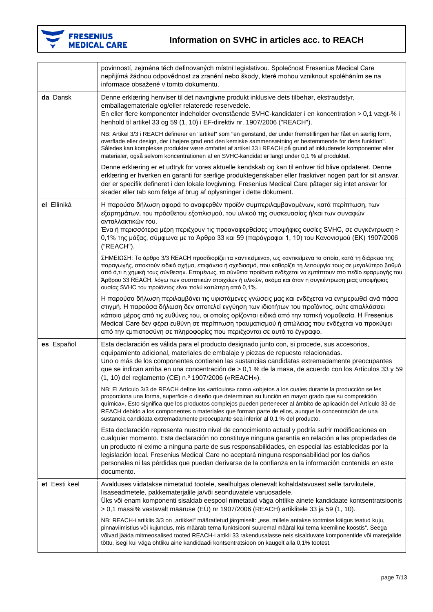

**F** 

|               | povinností, zejména těch definovaných místní legislativou. Společnost Fresenius Medical Care<br>nepřijímá žádnou odpovědnost za zranění nebo škody, které mohou vzniknout spoléháním se na<br>informace obsažené v tomto dokumentu.                                                                                                                                                                                                                                                                                                       |
|---------------|-------------------------------------------------------------------------------------------------------------------------------------------------------------------------------------------------------------------------------------------------------------------------------------------------------------------------------------------------------------------------------------------------------------------------------------------------------------------------------------------------------------------------------------------|
| da Dansk      | Denne erklæring henviser til det navngivne produkt inklusive dets tilbehør, ekstraudstyr,<br>emballagemateriale og/eller relaterede reservedele.<br>En eller flere komponenter indeholder ovenstående SVHC-kandidater i en koncentration > 0,1 vægt-% i<br>henhold til artikel 33 og 59 (1, 10) i EF-direktiv nr. 1907/2006 ("REACH").                                                                                                                                                                                                    |
|               | NB: Artikel 3/3 i REACH definerer en "artikel" som "en genstand, der under fremstillingen har fået en særlig form,<br>overflade eller design, der i højere grad end den kemiske sammensætning er bestemmende for dens funktion".<br>Således kan komplekse produkter være omfattet af artikel 33 i REACH på grund af inkluderede komponenter eller<br>materialer, også selvom koncentrationen af en SVHC-kandidat er langt under 0,1 % af produktet.                                                                                       |
|               | Denne erklæring er et udtryk for vores aktuelle kendskab og kan til enhver tid blive opdateret. Denne<br>erklæring er hverken en garanti for særlige produktegenskaber eller fraskriver nogen part for sit ansvar,<br>der er specifik defineret i den lokale lovgivning. Fresenius Medical Care påtager sig intet ansvar for<br>skader eller tab som følge af brug af oplysninger i dette dokument.                                                                                                                                       |
| el Elliniká   | Η παρούσα δήλωση αφορά το αναφερθέν προϊόν συμπεριλαμβανομένων, κατά περίπτωση, των<br>εξαρτημάτων, του πρόσθετου εξοπλισμού, του υλικού της συσκευασίας ή/και των συναφών<br>ανταλλακτικών του.<br>Ένα ή περισσότερα μέρη περιέχουν τις προαναφερθείσες υποψήφιες ουσίες SVHC, σε συγκέντρωση ><br>0,1% της μάζας, σύμφωνα με το Άρθρο 33 και 59 (παράγραφοι 1, 10) του Κανονισμού (ΕΚ) 1907/2006<br>("REACH").                                                                                                                          |
|               | ΣΗΜΕΙΩΣΗ: Το άρθρο 3/3 REACH προσδιορίζει τα «αντικείμενα», ως «αντικείμενα τα οποία, κατά τη διάρκεια της<br>παραγωγής, αποκτούν ειδικό σχήμα, επιφάνεια ή σχεδιασμό, που καθορίζει τη λειτουργία τους σε μεγαλύτερο βαθμό<br>από ό,τι η χημική τους σύνθεση». Επομένως, τα σύνθετα προϊόντα ενδέχεται να εμπίπτουν στο πεδίο εφαρμογής του<br>Άρθρου 33 REACH, λόγω των συστατικών στοιχείων ή υλικών, ακόμα και όταν η συγκέντρωση μιας υποψήφιας<br>ουσίας SVHC του προϊόντος είναι πολύ κατώτερη από 0,1%.                           |
|               | Η παρούσα δήλωση περιλαμβάνει τις υφιστάμενες γνώσεις μας και ενδέχεται να ενημερωθεί ανά πάσα<br>στιγμή. Η παρούσα δήλωση δεν αποτελεί εγγύηση των ιδιοτήτων του προϊόντος, ούτε απαλλάσσει<br>κάποιο μέρος από τις ευθύνες του, οι οποίες ορίζονται ειδικά από την τοπική νομοθεσία. Η Fresenius<br>Medical Care δεν φέρει ευθύνη σε περίπτωση τραυματισμού ή απώλειας που ενδέχεται να προκύψει<br>από την εμπιστοσύνη σε πληροφορίες που περιέχονται σε αυτό το έγγραφο.                                                              |
| es Español    | Esta declaración es válida para el producto designado junto con, si procede, sus accesorios,<br>equipamiento adicional, materiales de embalaje y piezas de repuesto relacionadas.<br>Uno o más de los componentes contienen las sustancias candidatas extremadamente preocupantes<br>que se indican arriba en una concentración de > 0,1 % de la masa, de acuerdo con los Artículos 33 y 59<br>(1, 10) del reglamento (CE) n.º 1907/2006 («REACH»).                                                                                       |
|               | NB: El Artículo 3/3 de REACH define los «artículos» como «objetos a los cuales durante la producción se les<br>proporciona una forma, superficie o diseño que determinan su función en mayor grado que su composición<br>química». Esto significa que los productos complejos pueden pertenecer al ámbito de aplicación del Artículo 33 de<br>REACH debido a los componentes o materiales que forman parte de ellos, aunque la concentración de una<br>sustancia candidata extremadamente preocupante sea inferior al 0,1 % del producto. |
|               | Esta declaración representa nuestro nivel de conocimiento actual y podría sufrir modificaciones en<br>cualquier momento. Esta declaración no constituye ninguna garantía en relación a las propiedades de<br>un producto ni exime a ninguna parte de sus responsabilidades, en especial las establecidas por la<br>legislación local. Fresenius Medical Care no aceptará ninguna responsabilidad por los daños<br>personales ni las pérdidas que puedan derivarse de la confianza en la información contenida en este<br>documento.       |
| et Eesti keel | Avalduses viidatakse nimetatud tootele, sealhulgas olenevalt kohaldatavusest selle tarvikutele,<br>lisaseadmetele, pakkematerjalile ja/või seonduvatele varuosadele.<br>Üks või enam komponenti sisaldab eespool nimetatud väga ohtlike ainete kandidaate kontsentratsioonis<br>> 0,1 massi% vastavalt määruse (EÜ) nr 1907/2006 (REACH) artiklitele 33 ja 59 (1, 10).                                                                                                                                                                    |
|               | NB: REACH-i artiklis 3/3 on "artikkel" määratletud järgmiselt: "ese, millele antakse tootmise käigus teatud kuju,<br>pinnaviimistlus või kujundus, mis määrab tema funktsiooni suuremal määral kui tema keemiline koostis". Seega<br>võivad jääda mitmeosalised tooted REACH-i artikli 33 rakendusalasse neis sisalduvate komponentide või materjalide<br>tõttu, isegi kui väga ohtliku aine kandidaadi kontsentratsioon on kaugelt alla 0,1% tootest.                                                                                    |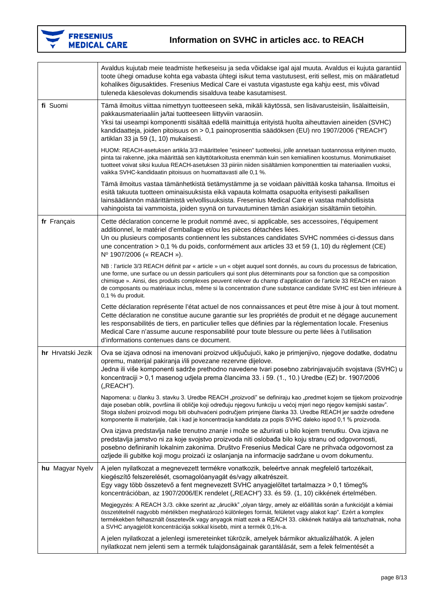

|                   | Avaldus kujutab meie teadmiste hetkeseisu ja seda võidakse igal ajal muuta. Avaldus ei kujuta garantiid<br>toote ühegi omaduse kohta ega vabasta ühtegi isikut tema vastutusest, eriti sellest, mis on määratletud<br>kohalikes õigusaktides. Fresenius Medical Care ei vastuta vigastuste ega kahju eest, mis võivad<br>tuleneda käesolevas dokumendis sisalduva teabe kasutamisest.                                                                                                                 |
|-------------------|-------------------------------------------------------------------------------------------------------------------------------------------------------------------------------------------------------------------------------------------------------------------------------------------------------------------------------------------------------------------------------------------------------------------------------------------------------------------------------------------------------|
| fi Suomi          | Tämä ilmoitus viittaa nimettyyn tuotteeseen sekä, mikäli käytössä, sen lisävarusteisiin, lisälaitteisiin,<br>pakkausmateriaaliin ja/tai tuotteeseen liittyviin varaosiin.<br>Yksi tai useampi komponentti sisältää edellä mainittuja erityistä huolta aiheuttavien aineiden (SVHC)<br>kandidaatteja, joiden pitoisuus on > 0,1 painoprosenttia säädöksen (EU) nro 1907/2006 ("REACH")<br>artiklan 33 ja 59 (1, 10) mukaisesti.                                                                        |
|                   | HUOM: REACH-asetuksen artikla 3/3 määrittelee "esineen" tuotteeksi, jolle annetaan tuotannossa erityinen muoto,<br>pinta tai rakenne, joka määrittää sen käyttötarkoitusta enemmän kuin sen kemiallinen koostumus. Monimutkaiset<br>tuotteet voivat siksi kuulua REACH-asetuksen 33 piiriin niiden sisältämien komponenttien tai materiaalien vuoksi,<br>vaikka SVHC-kandidaatin pitoisuus on huomattavasti alle 0,1 %.                                                                               |
|                   | Tämä ilmoitus vastaa tämänhetkistä tietämystämme ja se voidaan päivittää koska tahansa. Ilmoitus ei<br>esitä takuuta tuotteen ominaisuuksista eikä vapauta kolmatta osapuolta erityisesti paikallisen<br>lainsäädännön määrittämistä velvollisuuksista. Fresenius Medical Care ei vastaa mahdollisista<br>vahingoista tai vammoista, joiden syynä on turvautuminen tämän asiakirjan sisältämiin tietoihin.                                                                                            |
| fr Français       | Cette déclaration concerne le produit nommé avec, si applicable, ses accessoires, l'équipement<br>additionnel, le matériel d'emballage et/ou les pièces détachées liées.<br>Un ou plusieurs composants contiennent les substances candidates SVHC nommées ci-dessus dans<br>une concentration > 0,1 % du poids, conformément aux articles 33 et 59 (1, 10) du règlement (CE)<br>Nº 1907/2006 (« REACH »).                                                                                             |
|                   | NB : l'article 3/3 REACH définit par « article » un « objet auquel sont donnés, au cours du processus de fabrication,<br>une forme, une surface ou un dessin particuliers qui sont plus déterminants pour sa fonction que sa composition<br>chimique ». Ainsi, des produits complexes peuvent relever du champ d'application de l'article 33 REACH en raison<br>de composants ou matériaux inclus, même si la concentration d'une substance candidate SVHC est bien inférieure à<br>0,1 % du produit. |
|                   | Cette déclaration représente l'état actuel de nos connaissances et peut être mise à jour à tout moment.<br>Cette déclaration ne constitue aucune garantie sur les propriétés de produit et ne dégage aucunement<br>les responsabilités de tiers, en particulier telles que définies par la réglementation locale. Fresenius<br>Medical Care n'assume aucune responsabilité pour toute blessure ou perte liées à l'utilisation<br>d'informations contenues dans ce document.                           |
| hr Hrvatski Jezik | Ova se izjava odnosi na imenovani proizvod uključujući, kako je primjenjivo, njegove dodatke, dodatnu<br>opremu, materijal pakiranja i/ili povezane rezervne dijelove.<br>Jedna ili više komponenti sadrže prethodno navedene tvari posebno zabrinjavajućih svojstava (SVHC) u<br>koncentraciji > 0,1 masenog udjela prema člancima 33. i 59. (1., 10.) Uredbe (EZ) br. 1907/2006<br>("REACH").                                                                                                       |
|                   | Napomena: u članku 3. stavku 3. Uredbe REACH "proizvodi" se definiraju kao "predmet kojem se tijekom proizvodnje<br>daje poseban oblik, površina ili obličje koji određuju njegovu funkciju u većoj mjeri nego njegov kemijski sastav".<br>Stoga složeni proizvodi mogu biti obuhvaćeni područjem primjene članka 33. Uredbe REACH jer sadrže određene<br>komponente ili materijale, čak i kad je koncentracija kandidata za popis SVHC daleko ispod 0,1 % proizvoda.                                 |
|                   | Ova izjava predstavlja naše trenutno znanje i može se ažurirati u bilo kojem trenutku. Ova izjava ne<br>predstavlja jamstvo ni za koje svojstvo proizvoda niti oslobađa bilo koju stranu od odgovornosti,<br>posebno definiranih lokalnim zakonima. Društvo Fresenius Medical Care ne prihvaća odgovornost za<br>ozljede ili gubitke koji mogu proizaći iz oslanjanja na informacije sadržane u ovom dokumentu.                                                                                       |
| hu Magyar Nyelv   | A jelen nyilatkozat a megnevezett termékre vonatkozik, beleértve annak megfelelő tartozékait,<br>kiegészítő felszerelését, csomagolóanyagát és/vagy alkatrészeit.<br>Egy vagy több összetevő a fent megnevezett SVHC anyagjelöltet tartalmazza > 0,1 tömeg%<br>koncentrációban, az 1907/2006/EK rendelet ("REACH") 33. és 59. (1, 10) cikkének értelmében.                                                                                                                                            |
|                   | Megjegyzés: A REACH 3./3. cikke szerint az "árucikk" "olyan tárgy, amely az előállítás során a funkcióját a kémiai<br>összetételnél nagyobb mértékben meghatározó különleges formát, felületet vagy alakot kap". Ezért a komplex<br>termékekben felhasznált összetevők vagy anyagok miatt ezek a REACH 33. cikkének hatálya alá tartozhatnak, noha<br>a SVHC anyagjelölt koncentrációja sokkal kisebb, mint a termék 0,1%-a.                                                                          |
|                   | A jelen nyilatkozat a jelenlegi ismereteinket tükrözik, amelyek bármikor aktualizálhatók. A jelen<br>nyilatkozat nem jelenti sem a termék tulajdonságainak garantálását, sem a felek felmentését a                                                                                                                                                                                                                                                                                                    |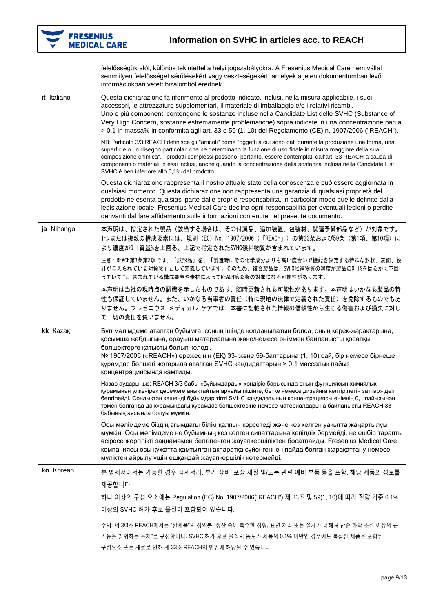

|             | felelősségük alól, különös tekintettel a helyi jogszabályokra. A Fresenius Medical Care nem vállal<br>semmilyen felelősséget sérülésekért vagy veszteségekért, amelyek a jelen dokumentumban lévő<br>információkban vetett bizalomból erednek.                                                                                                                                                                                                                                                                                 |
|-------------|--------------------------------------------------------------------------------------------------------------------------------------------------------------------------------------------------------------------------------------------------------------------------------------------------------------------------------------------------------------------------------------------------------------------------------------------------------------------------------------------------------------------------------|
| it Italiano | Questa dichiarazione fa riferimento al prodotto indicato, inclusi, nella misura applicabile, i suoi<br>accessori, le attrezzature supplementari, il materiale di imballaggio e/o i relativi ricambi.<br>Uno o più componenti contengono le sostanze incluse nella Candidate List delle SVHC (Substance of<br>Very High Concern, sostanze estremamente problematiche) sopra indicate in una concentrazione pari a<br>$> 0.1$ in massa% in conformità agli art. 33 e 59 (1, 10) del Regolamento (CE) n. 1907/2006 ("REACH").     |
|             | NB: l'articolo 3/3 REACH definisce gli "articoli" come "oggetti a cui sono dati durante la produzione una forma, una<br>superficie o un disegno particolari che ne determinano la funzione di uso finale in misura maggiore della sua<br>composizione chimica". I prodotti complessi possono, pertanto, essere contemplati dall'art. 33 REACH a causa di<br>componenti o materiali in essi inclusi, anche quando la concentrazione della sostanza inclusa nella Candidate List<br>SVHC è ben inferiore allo 0,1% del prodotto. |
|             | Questa dichiarazione rappresenta il nostro attuale stato della conoscenza e può essere aggiornata in<br>qualsiasi momento. Questa dichiarazione non rappresenta una garanzia di qualsiasi proprietà del<br>prodotto né esenta qualsiasi parte dalle proprie responsabilità, in particolar modo quelle definite dalla<br>legislazione locale. Fresenius Medical Care declina ogni responsabilità per eventuali lesioni o perdite<br>derivanti dal fare affidamento sulle informazioni contenute nel presente documento.         |
| ja Nihongo  | 本声明は、指定された製品(該当する場合は、その付属品、追加装置、包装材、関連予備部品など)が対象です。<br>1つまたは複数の構成要素には、規則(EC)No. 1907/2006(「REACH」)の第33条および59条(第1項、第10項)に<br>より濃度が0.1質量%を上回る、上記で指定されたSVHC候補物質が含まれています。                                                                                                                                                                                                                                                                                                                                                          |
|             | 注意:REACH第3条第3項では、「成形品」を、「製造時にその化学成分よりも高い度合いで機能を決定する特殊な形状、表面、設<br>計が与えられている対象物」として定義しています。そのため、複合製品は、SVHC候補物質の濃度が製品の0.1%をはるかに下回<br>っていても、含まれている構成要素や素材によってREACH第33条の対象になる可能性があります。                                                                                                                                                                                                                                                                                                                                              |
|             | 本声明は当社の現時点の認識を示したものであり、随時更新される可能性があります。本声明はいかなる製品の特<br>性も保証していません。また、いかなる当事者の責任(特に現地の法律で定義された責任)を免除するものでもあ<br>りません。フレゼニウス メディカル ケアでは、本書に記載された情報の信頼性から生じる傷害および損失に対し<br>て一切の責任を負いません。                                                                                                                                                                                                                                                                                                                                            |
| kk Kazak    | Бұл мәлімдеме аталған бұйымға, соның ішінде қолданылатын болса, оның керек-жарақтарына,<br>қосымша жабдығына, орауыш материалына және/немесе өніммен байланысты қосалқы<br>бөлшектерге қатысты болып келеді.<br>№ 1907/2006 («REACH») ережесінің (ЕҚ) 33- және 59-баптарына (1, 10) сай, бір немесе бірнеше<br>құрамдас бөлшегі жоғарыда аталған SVHC кандидаттарын > 0,1 массалық пайыз<br>концентрациясында қамтиды.                                                                                                         |
|             | Назар аударыңыз: REACH 3/3 бабы «бұйымдарды» «өндіріс барысында оның функциясын химиялық<br>құрамынан үлкенірек дәрежеге анықтайтын арнайы пішінге, бетке немесе дизайнға келтірілетін заттар» деп<br>белгілейді. Сондықтан кешенді бұйымдар тіпті SVHC кандидатының концентрациясы өнімнің 0,1 пайызынан<br>төмен болғанда да құрамындағы құрамдас бөлшектеріне немесе материалдарына байланысты REACH 33-<br>бабының аясында болуы мүмкін.                                                                                   |
|             | Осы мәлімдеме біздің ағымдағы білім қалпын көрсетеді және кез келген уақытта жаңартылуы<br>мүмкін. Осы мәлімдеме не бұйымның кез келген сипаттарына кепілдік бермейді, не ешбір тарапты<br>әсіресе жергілікті заңнамамен белгіленген жауапкершіліктен босатпайды. Fresenius Medical Care<br>компаниясы осы құжатта қамтылған ақпаратқа сүйенгеннен пайда болған жарақаттану немесе<br>мүліктен айрылу үшін ешқандай жауапкершілік көтермейді.                                                                                  |
| ko Korean   | 본 명세서에서는 가능한 경우 액세서리, 부가 장비, 포장 재질 및/또는 관련 예비 부품 등을 포함, 해당 제품의 정보를<br>제공합니다.                                                                                                                                                                                                                                                                                                                                                                                                                                                   |
|             | 하나 이상의 구성 요소에는 Regulation (EC) No. 1907/2006("REACH") 제 33조 및 59(1, 10)에 따라 질량 기준 0.1%<br>이상의 SVHC 허가 후보 물질이 포함되어 있습니다.                                                                                                                                                                                                                                                                                                                                                                                                        |
|             | 주의: 제 3/3조 REACH에서는 "완제품"의 정의를 "생산 중에 특수한 성형, 표면 처리 또는 설계가 더해져 단순 화학 조성 이상의 큰<br>기능을 발휘하는 물체"로 규정합니다. SVHC 허가 후보 물질의 농도가 제품의 0.1% 미만인 경우에도 복잡한 제품은 포함된<br>구성요소 또는 재료로 인해 제 33조 REACH의 범위에 해당될 수 있습니다.                                                                                                                                                                                                                                                                                                                          |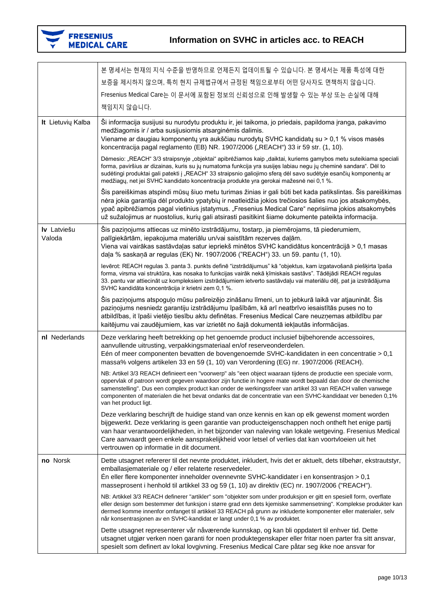

|                       | 본 명세서는 현재의 지식 수준을 반영하므로 언제든지 업데이트될 수 있습니다. 본 명세서는 제품 특성에 대한                                                                                                                                                                                                                                                                                                                                                                                                                          |
|-----------------------|--------------------------------------------------------------------------------------------------------------------------------------------------------------------------------------------------------------------------------------------------------------------------------------------------------------------------------------------------------------------------------------------------------------------------------------------------------------------------------------|
|                       | 보증을 제시하지 않으며, 특히 현지 규제법규에서 규정된 책임으로부터 어떤 당사자도 면책하지 않습니다.                                                                                                                                                                                                                                                                                                                                                                                                                             |
|                       | Fresenius Medical Care는 이 문서에 포함된 정보의 신뢰성으로 인해 발생할 수 있는 부상 또는 손실에 대해                                                                                                                                                                                                                                                                                                                                                                                                                 |
|                       | 책임지지 않습니다.                                                                                                                                                                                                                                                                                                                                                                                                                                                                           |
| It Lietuvių Kalba     | Ši informacija susijusi su nurodytu produktu ir, jei taikoma, jo priedais, papildoma įranga, pakavimo<br>medžiagomis ir / arba susijusiomis atsarginėmis dalimis.<br>Viename ar daugiau komponentų yra aukščiau nurodytų SVHC kandidatų su > 0,1 % visos masės<br>koncentracija pagal reglamento (EB) NR. 1907/2006 ("REACH") 33 ir 59 str. (1, 10).                                                                                                                                 |
|                       | Dėmesio: "REACH" 3/3 straipsnyje "objektai" apibrėžiamos kaip "daiktai, kuriems gamybos metu suteikiama speciali<br>forma, paviršius ar dizainas, kuris su jų numatoma funkcija yra susijęs labiau negu jų cheminė sandara". Dėl to<br>sudėtingi produktai gali patekti į "REACH" 33 straipsnio galiojimo sferą dėl savo sudėtyje esančių komponentų ar<br>medžiagų, net jei SVHC kandidato koncentracija produkte yra gerokai mažesnė nei 0,1 %.                                    |
|                       | Šis pareiškimas atspindi mūsų šiuo metu turimas žinias ir gali būti bet kada patikslintas. Šis pareiškimas<br>nėra jokia garantija dėl produkto ypatybių ir neatleidžia jokios trečiosios šalies nuo jos atsakomybės,<br>ypač apibrėžiamos pagal vietinius įstatymus. "Fresenius Medical Care" neprisiima jokios atsakomybės<br>už sužalojimus ar nuostolius, kurių gali atsirasti pasitikint šiame dokumente pateikta informacija.                                                  |
| Iv Latviešu<br>Valoda | Šis paziņojums attiecas uz minēto izstrādājumu, tostarp, ja piemērojams, tā piederumiem,<br>palīgiekārtām, iepakojuma materiālu un/vai saistītām rezerves daļām.<br>Viena vai vairākas sastāvdalas satur iepriekš minētos SVHC kandidātus koncentrācijā > 0,1 masas<br>daļa % saskaņā ar regulas (EK) Nr. 1907/2006 ("REACH") 33. un 59. pantu (1, 10).                                                                                                                              |
|                       | levērot: REACH regulas 3. panta 3. punkts definē "izstrādājumus" kā "objektus, kam izgatavošanā piešķirta īpaša<br>forma, virsma vai struktūra, kas nosaka to funkcijas vairāk nekā ķīmiskais sastāvs". Tādējādi REACH regulas<br>33. pantu var attiecināt uz kompleksiem izstrādājumiem ietverto sastāvdaļu vai materiālu dēļ, pat ja izstrādājuma<br>SVHC kandidāta koncentrācija ir krietni zem 0,1 %.                                                                            |
|                       | Šis paziņojums atspoguļo mūsu pašreizējo zināšanu līmeni, un to jebkurā laikā var atjaunināt. Šis<br>paziņojums nesniedz garantiju izstrādājumu īpašībām, kā arī neatbrīvo iesaistītās puses no to<br>atbildības, it īpaši vietējo tiesību aktu definētas. Fresenius Medical Care neuzņemas atbildību par<br>kaitējumu vai zaudējumiem, kas var izrietēt no šajā dokumentā iekļautās informācijas.                                                                                   |
| nl Nederlands         | Deze verklaring heeft betrekking op het genoemde product inclusief bijbehorende accessoires,<br>aanvullende uitrusting, verpakkingsmateriaal en/of reserveonderdelen.<br>Eén of meer componenten bevatten de bovengenoemde SVHC-kandidaten in een concentratie > 0,1<br>massa% volgens artikelen 33 en 59 (1, 10) van Verordening (EG) nr. 1907/2006 (REACH).                                                                                                                        |
|                       | NB: Artikel 3/3 REACH definieert een "voorwerp" als "een object waaraan tijdens de productie een speciale vorm,<br>oppervlak of patroon wordt gegeven waardoor zijn functie in hogere mate wordt bepaald dan door de chemische<br>samenstelling". Dus een complex product kan onder de werkingssfeer van artikel 33 van REACH vallen vanwege<br>componenten of materialen die het bevat ondanks dat de concentratie van een SVHC-kandidaat ver beneden 0,1%<br>van het product ligt. |
|                       | Deze verklaring beschrijft de huidige stand van onze kennis en kan op elk gewenst moment worden<br>bijgewerkt. Deze verklaring is geen garantie van producteigenschappen noch ontheft het enige partij<br>van haar verantwoordelijkheden, in het bijzonder van naleving van lokale wetgeving. Fresenius Medical<br>Care aanvaardt geen enkele aansprakelijkheid voor letsel of verlies dat kan voortvloeien uit het<br>vertrouwen op informatie in dit document.                     |
| no Norsk              | Dette utsagnet refererer til det nevnte produktet, inkludert, hvis det er aktuelt, dets tilbehør, ekstrautstyr,<br>emballasjemateriale og / eller relaterte reservedeler.<br>$En$ eller flere komponenter inneholder ovennevnte SVHC-kandidater i en konsentrasjon > 0,1<br>masseprosent i henhold til artikkel 33 og 59 (1, 10) av direktiv (EC) nr. 1907/2006 ("REACH").                                                                                                           |
|                       | NB: Artikkel 3/3 REACH definerer "artikler" som "objekter som under produksjon er gitt en spesiell form, overflate<br>eller design som bestemmer det funksjon i større grad enn dets kjemiske sammensetning". Komplekse produkter kan<br>dermed komme innenfor omfanget til artikkel 33 REACH på grunn av inkluderte komponenter eller materialer, selv<br>når konsentrasjonen av en SVHC-kandidat er langt under 0,1 % av produktet.                                                |
|                       | Dette utsagnet representerer vår nåværende kunnskap, og kan bli oppdatert til enhver tid. Dette<br>utsagnet utgjør verken noen garanti for noen produktegenskaper eller fritar noen parter fra sitt ansvar,<br>spesielt som definert av lokal lovgivning. Fresenius Medical Care påtar seg ikke noe ansvar for                                                                                                                                                                       |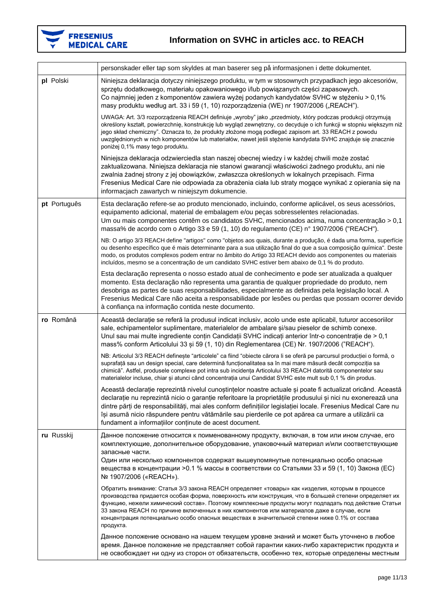

|              | personskader eller tap som skyldes at man baserer seg på informasjonen i dette dokumentet.                                                                                                                                                                                                                                                                                                                                                                                                                                   |
|--------------|------------------------------------------------------------------------------------------------------------------------------------------------------------------------------------------------------------------------------------------------------------------------------------------------------------------------------------------------------------------------------------------------------------------------------------------------------------------------------------------------------------------------------|
| pl Polski    | Niniejsza deklaracja dotyczy niniejszego produktu, w tym w stosownych przypadkach jego akcesoriów,<br>sprzętu dodatkowego, materiału opakowaniowego i/lub powiązanych części zapasowych.<br>Co najmniej jeden z komponentów zawiera wyżej podanych kandydatów SVHC w stężeniu > 0,1%<br>masy produktu według art. 33 i 59 (1, 10) rozporządzenia (WE) nr 1907/2006 ("REACH").                                                                                                                                                |
|              | UWAGA: Art. 3/3 rozporządzenia REACH definiuje "wyroby" jako "przedmioty, który podczas produkcji otrzymują<br>określony kształt, powierzchnię, konstrukcję lub wygląd zewnętrzny, co decyduje o ich funkcji w stopniu większym niż<br>jego skład chemiczny". Oznacza to, że produkty złożone mogą podlegać zapisom art. 33 REACH z powodu<br>uwzględnionych w nich komponentów lub materiałów, nawet jeśli stężenie kandydata SVHC znajduje się znacznie<br>poniżej 0,1% masy tego produktu.                                |
|              | Niniejsza deklaracja odzwierciedla stan naszej obecnej wiedzy i w każdej chwili może zostać<br>zaktualizowana. Niniejsza deklaracja nie stanowi gwarancji właściwości żadnego produktu, ani nie<br>zwalnia żadnej strony z jej obowiązków, zwłaszcza określonych w lokalnych przepisach. Firma<br>Fresenius Medical Care nie odpowiada za obrażenia ciała lub straty mogące wynikać z opierania się na<br>informacjach zawartych w niniejszym dokumencie.                                                                    |
| pt Português | Esta declaração refere-se ao produto mencionado, incluindo, conforme aplicável, os seus acessórios,<br>equipamento adicional, material de embalagem e/ou peças sobresselentes relacionadas.<br>Um ou mais componentes contêm os candidatos SVHC, mencionados acima, numa concentração > 0,1<br>massa% de acordo com o Artigo 33 e 59 (1, 10) do regulamento (CE) nº 1907/2006 ("REACH").                                                                                                                                     |
|              | NB: O artigo 3/3 REACH define "artigos" como "objetos aos quais, durante a produção, é dada uma forma, superfície<br>ou desenho específico que é mais determinante para a sua utilização final do que a sua composição química". Deste<br>modo, os produtos complexos podem entrar no âmbito do Artigo 33 REACH devido aos componentes ou materiais<br>incluídos, mesmo se a concentração de um candidato SVHC estiver bem abaixo de 0,1 % do produto.                                                                       |
|              | Esta declaração representa o nosso estado atual de conhecimento e pode ser atualizada a qualquer<br>momento. Esta declaração não representa uma garantia de qualquer propriedade do produto, nem<br>desobriga as partes de suas responsabilidades, especialmente as definidas pela legislação local. A<br>Fresenius Medical Care não aceita a responsabilidade por lesões ou perdas que possam ocorrer devido<br>à confiança na informação contida neste documento.                                                          |
| ro Română    | Această declarație se referă la produsul indicat inclusiv, acolo unde este aplicabil, tuturor accesoriilor<br>sale, echipamentelor suplimentare, materialelor de ambalare si/sau pieselor de schimb conexe.<br>Unul sau mai multe ingrediente conțin Candidații SVHC indicați anterior într-o concentrație de > 0,1<br>mass% conform Articolului 33 și 59 (1, 10) din Reglementarea (CE) Nr. 1907/2006 ("REACH").                                                                                                            |
|              | NB: Articolul 3/3 REACH definește "articolele" ca fiind "obiecte cărora li se oferă pe parcursul producției o formă, o<br>suprafață sau un design special, care determină funcționalitatea sa în mai mare măsură decât compoziția sa<br>chimică". Astfel, produsele complexe pot intra sub incidența Articolului 33 REACH datorită componentelor sau<br>materialelor incluse, chiar și atunci când concentrația unui Candidat SVHC este mult sub 0,1 % din produs.                                                           |
|              | Această declarație reprezintă nivelul cunoștințelor noastre actuale și poate fi actualizat oricând. Această<br>declarație nu reprezintă nicio o garanție referitoare la proprietățile produsului și nici nu exonerează una<br>dintre părți de responsabilități, mai ales conform definițiilor legislației locale. Fresenius Medical Care nu<br>își asumă nicio răspundere pentru vătămările sau pierderile ce pot apărea ca urmare a utilizării ca<br>fundament a informațiilor conținute de acest document.                 |
| ru Russkij   | Данное положение относится к поименованному продукту, включая, в том или ином случае, его<br>комплектующие, дополнительное оборудование, упаковочный материал и/или соответствующие<br>запасные части.<br>Один или несколько компонентов содержат вышеупомянутые потенциально особо опасные<br>вещества в концентрации >0.1 % массы в соответствии со Статьями 33 и 59 (1, 10) Закона (EC)<br>№ 1907/2006 («REACH»).                                                                                                         |
|              | Обратить внимание: Статья 3/3 закона REACH определяет «товары» как «изделия, которым в процессе<br>производства придается особая форма, поверхность или конструкция, что в большей степени определяет их<br>функцию, нежели химический состав». Поэтому комплексные продукты могут подпадать под действие Статьи<br>33 закона REACH по причине включенных в них компонентов или материалов даже в случае, если<br>концентрация потенциально особо опасных веществах в значительной степени ниже 0.1% от состава<br>продукта. |
|              | Данное положение основано на нашем текущем уровне знаний и может быть уточнено в любое<br>время. Данное положение не представляет собой гарантии каких-либо характеристик продукта и<br>не освобождает ни одну из сторон от обязательств, особенно тех, которые определены местным                                                                                                                                                                                                                                           |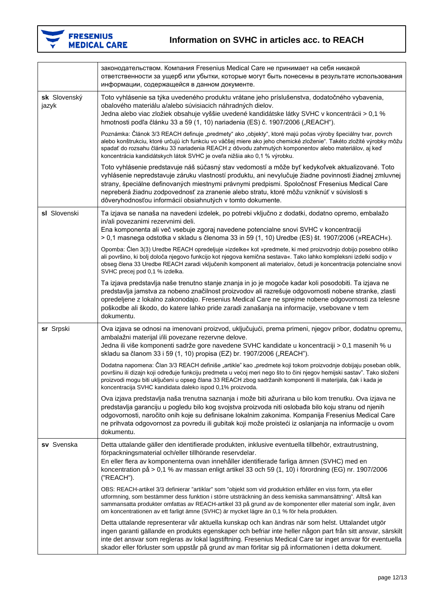

# FRESENIUS<br>MEDICAL CARE

|                       | законодательством. Компания Fresenius Medical Care не принимает на себя никакой<br>ответственности за ущерб или убытки, которые могут быть понесены в результате использования<br>информации, содержащейся в данном документе.                                                                                                                                                                                                                                           |
|-----------------------|--------------------------------------------------------------------------------------------------------------------------------------------------------------------------------------------------------------------------------------------------------------------------------------------------------------------------------------------------------------------------------------------------------------------------------------------------------------------------|
| sk Slovenský<br>jazyk | Toto vyhlásenie sa týka uvedeného produktu vrátane jeho príslušenstva, dodatočného vybavenia,<br>obalového materiálu a/alebo súvisiacich náhradných dielov.<br>Jedna alebo viac zložiek obsahuje vyššie uvedené kandidátske látky SVHC v koncentrácii > 0,1 %<br>hmotnosti podľa článku 33 a 59 (1, 10) nariadenia (ES) č. 1907/2006 ("REACH").                                                                                                                          |
|                       | Poznámka: Článok 3/3 REACH definuje "predmety" ako "objekty", ktoré majú počas výroby špeciálny tvar, povrch<br>alebo konštrukciu, ktoré určujú ich funkciu vo väčšej miere ako jeho chemické zloženie". Takéto zložité výrobky môžu<br>spadať do rozsahu článku 33 nariadenia REACH z dôvodu zahrnutých komponentov alebo materiálov, aj keď<br>koncentrácia kandidátskych látok SVHC je oveľa nižšia ako 0,1 % výrobku.                                                |
|                       | Toto vyhlásenie predstavuje náš súčasný stav vedomostí a môže byť kedykoľvek aktualizované. Toto<br>vyhlásenie nepredstavuje záruku vlastností produktu, ani nevylučuje žiadne povinnosti žiadnej zmluvnej<br>strany, špeciálne definovaných miestnymi právnymi predpismi. Spoločnosť Fresenius Medical Care<br>nepreberá žiadnu zodpovednosť za zranenie alebo stratu, ktoré môžu vzniknúť v súvislosti s<br>dôveryhodnosťou informácií obsiahnutých v tomto dokumente. |
| sl Slovenski          | Ta izjava se nanaša na navedeni izdelek, po potrebi vključno z dodatki, dodatno opremo, embalažo<br>in/ali povezanimi rezervnimi deli.<br>Ena komponenta ali več vsebuje zgoraj navedene potencialne snovi SVHC v koncentraciji<br>> 0,1 masnega odstotka v skladu s členoma 33 in 59 (1, 10) Uredbe (ES) št. 1907/2006 (»REACH«).                                                                                                                                       |
|                       | Opomba: Člen 3(3) Uredbe REACH opredeljuje »izdelke« kot »predmete, ki med proizvodnjo dobijo posebno obliko<br>ali površino, ki bolj določa njegovo funkcijo kot njegova kemična sestava«. Tako lahko kompleksni izdelki sodijo v<br>obseg člena 33 Uredbe REACH zaradi vključenih komponent ali materialov, četudi je koncentracija potencialne snovi<br>SVHC precej pod 0,1 % izdelka.                                                                                |
|                       | Ta izjava predstavlja naše trenutno stanje znanja in jo je mogoče kadar koli posodobiti. Ta izjava ne<br>predstavlja jamstva za nobeno značilnost proizvodov ali razrešuje odgovornosti nobene stranke, zlasti<br>opredeljene z lokalno zakonodajo. Fresenius Medical Care ne sprejme nobene odgovornosti za telesne<br>poškodbe ali škodo, do katere lahko pride zaradi zanašanja na informacije, vsebovane v tem<br>dokumentu.                                         |
| sr Srpski             | Ova izjava se odnosi na imenovani proizvod, uključujući, prema primeni, njegov pribor, dodatnu opremu,<br>ambalažni materijal i/ili povezane rezervne delove.<br>Jedna ili više komponenti sadrže gore navedene SVHC kandidate u koncentraciji > 0,1 masenih % u<br>skladu sa članom 33 i 59 (1, 10) propisa (EZ) br. 1907/2006 ("REACH").                                                                                                                               |
|                       | Dodatna napomena: Član 3/3 REACH definiše "artikle" kao "predmete koji tokom proizvodnje dobijaju poseban oblik,<br>površinu ili dizajn koji određuje funkciju predmeta u većoj meri nego što to čini njegov hemijski sastav". Tako složeni<br>proizvodi mogu biti uključeni u opseg člana 33 REACH zbog sadržanih komponenti ili materijala, čak i kada je<br>koncentracija SVHC kandidata daleko ispod 0,1% proizvoda.                                                 |
|                       | Ova izjava predstavlja naša trenutna saznanja i može biti ažurirana u bilo kom trenutku. Ova izjava ne<br>predstavlja garanciju u pogledu bilo kog svojstva proizvoda niti oslobađa bilo koju stranu od njenih<br>odgovornosti, naročito onih koje su definisane lokalnim zakonima. Kompanija Fresenius Medical Care<br>ne prihvata odgovornost za povredu ili gubitak koji može proisteći iz oslanjanja na informacije u ovom<br>dokumentu.                             |
| sv Svenska            | Detta uttalande gäller den identifierade produkten, inklusive eventuella tillbehör, extrautrustning,<br>förpackningsmaterial och/eller tillhörande reservdelar.<br>En eller flera av komponenterna ovan innehåller identifierade farliga ämnen (SVHC) med en<br>koncentration på > 0,1 % av massan enligt artikel 33 och 59 (1, 10) i förordning (EG) nr. 1907/2006<br>("REACH").                                                                                        |
|                       | OBS: REACH-artikel 3/3 definierar "artiklar" som "objekt som vid produktion erhåller en viss form, yta eller<br>utformning, som bestämmer dess funktion i större utsträckning än dess kemiska sammansättning". Alltså kan<br>sammansatta produkter omfattas av REACH-artikel 33 på grund av de komponenter eller material som ingår, även<br>om koncentrationen av ett farligt ämne (SVHC) är mycket lägre än 0,1 % för hela produkten.                                  |
|                       | Detta uttalande representerar vår aktuella kunskap och kan ändras när som helst. Uttalandet utgör<br>ingen garanti gällande en produkts egenskaper och befriar inte heller någon part från sitt ansvar, särskilt<br>inte det ansvar som regleras av lokal lagstiftning. Fresenius Medical Care tar inget ansvar för eventuella<br>skador eller förluster som uppstår på grund av man förlitar sig på informationen i detta dokument.                                     |